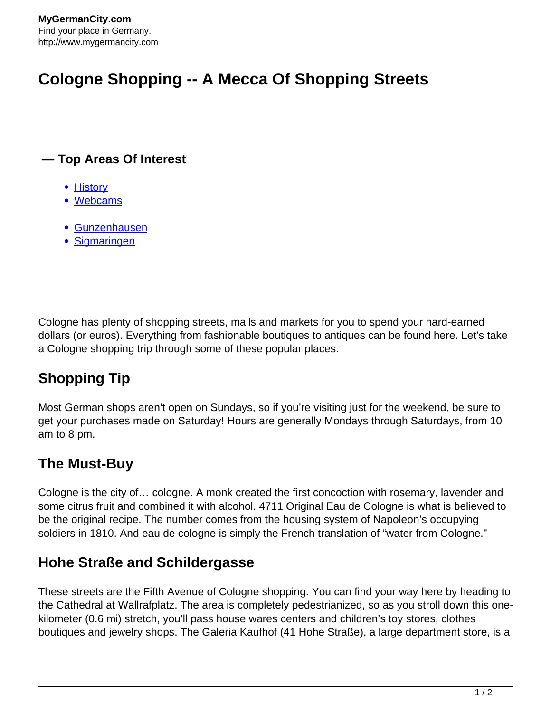# **Cologne Shopping -- A Mecca Of Shopping Streets**

#### **— Top Areas Of Interest**

- [History](http://www.mygermancity.com/leipzig-history)
- [Webcams](http://www.mygermancity.com/neustadt-holstein-webcams)
- [Gunzenhausen](http://www.mygermancity.com/gunzenhausen)
- [Sigmaringen](http://www.mygermancity.com/sigmaringen)

Cologne has plenty of shopping streets, malls and markets for you to spend your hard-earned dollars (or euros). Everything from fashionable boutiques to antiques can be found here. Let's take a Cologne shopping trip through some of these popular places.

## **Shopping Tip**

Most German shops aren't open on Sundays, so if you're visiting just for the weekend, be sure to get your purchases made on Saturday! Hours are generally Mondays through Saturdays, from 10 am to 8 pm.

### **The Must-Buy**

Cologne is the city of… cologne. A monk created the first concoction with rosemary, lavender and some citrus fruit and combined it with alcohol. 4711 Original Eau de Cologne is what is believed to be the original recipe. The number comes from the housing system of Napoleon's occupying soldiers in 1810. And eau de cologne is simply the French translation of "water from Cologne."

### **Hohe Straße and Schildergasse**

These streets are the Fifth Avenue of Cologne shopping. You can find your way here by heading to the Cathedral at Wallrafplatz. The area is completely pedestrianized, so as you stroll down this onekilometer (0.6 mi) stretch, you'll pass house wares centers and children's toy stores, clothes boutiques and jewelry shops. The Galeria Kaufhof (41 Hohe Straße), a large department store, is a